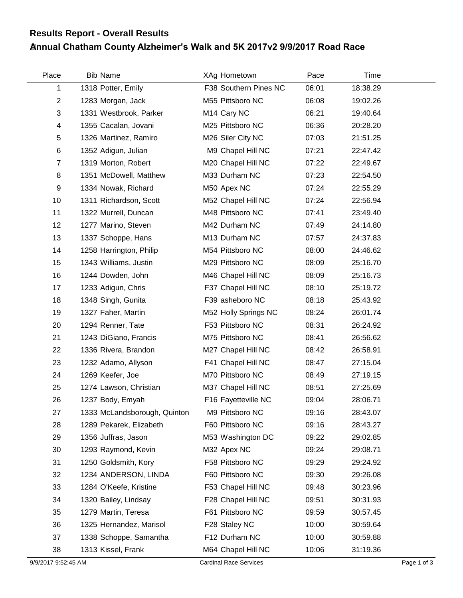## **Annual Chatham County Alzheimer's Walk and 5K 2017v2 9/9/2017 Road Race Results Report - Overall Results**

| Place          | <b>Bib Name</b>              | XAg Hometown            | Pace  | Time     |  |
|----------------|------------------------------|-------------------------|-------|----------|--|
| 1              | 1318 Potter, Emily           | F38 Southern Pines NC   | 06:01 | 18:38.29 |  |
| $\overline{2}$ | 1283 Morgan, Jack            | M55 Pittsboro NC        | 06:08 | 19:02.26 |  |
| 3              | 1331 Westbrook, Parker       | M <sub>14</sub> Cary NC | 06:21 | 19:40.64 |  |
| 4              | 1355 Cacalan, Jovani         | M25 Pittsboro NC        | 06:36 | 20:28.20 |  |
| 5              | 1326 Martinez, Ramiro        | M26 Siler City NC       | 07:03 | 21:51.25 |  |
| 6              | 1352 Adigun, Julian          | M9 Chapel Hill NC       | 07:21 | 22:47.42 |  |
| $\overline{7}$ | 1319 Morton, Robert          | M20 Chapel Hill NC      | 07:22 | 22:49.67 |  |
| 8              | 1351 McDowell, Matthew       | M33 Durham NC           | 07:23 | 22:54.50 |  |
| 9              | 1334 Nowak, Richard          | M50 Apex NC             | 07:24 | 22:55.29 |  |
| 10             | 1311 Richardson, Scott       | M52 Chapel Hill NC      | 07:24 | 22:56.94 |  |
| 11             | 1322 Murrell, Duncan         | M48 Pittsboro NC        | 07:41 | 23:49.40 |  |
| 12             | 1277 Marino, Steven          | M42 Durham NC           | 07:49 | 24:14.80 |  |
| 13             | 1337 Schoppe, Hans           | M13 Durham NC           | 07:57 | 24:37.83 |  |
| 14             | 1258 Harrington, Philip      | M54 Pittsboro NC        | 08:00 | 24:46.62 |  |
| 15             | 1343 Williams, Justin        | M29 Pittsboro NC        | 08:09 | 25:16.70 |  |
| 16             | 1244 Dowden, John            | M46 Chapel Hill NC      | 08:09 | 25:16.73 |  |
| 17             | 1233 Adigun, Chris           | F37 Chapel Hill NC      | 08:10 | 25:19.72 |  |
| 18             | 1348 Singh, Gunita           | F39 asheboro NC         | 08:18 | 25:43.92 |  |
| 19             | 1327 Faher, Martin           | M52 Holly Springs NC    | 08:24 | 26:01.74 |  |
| 20             | 1294 Renner, Tate            | F53 Pittsboro NC        | 08:31 | 26:24.92 |  |
| 21             | 1243 DiGiano, Francis        | M75 Pittsboro NC        | 08:41 | 26:56.62 |  |
| 22             | 1336 Rivera, Brandon         | M27 Chapel Hill NC      | 08:42 | 26:58.91 |  |
| 23             | 1232 Adamo, Allyson          | F41 Chapel Hill NC      | 08:47 | 27:15.04 |  |
| 24             | 1269 Keefer, Joe             | M70 Pittsboro NC        | 08:49 | 27:19.15 |  |
| 25             | 1274 Lawson, Christian       | M37 Chapel Hill NC      | 08:51 | 27:25.69 |  |
| 26             | 1237 Body, Emyah             | F16 Fayetteville NC     | 09:04 | 28:06.71 |  |
| 27             | 1333 McLandsborough, Quinton | M9 Pittsboro NC         | 09:16 | 28:43.07 |  |
| 28             | 1289 Pekarek, Elizabeth      | F60 Pittsboro NC        | 09:16 | 28:43.27 |  |
| 29             | 1356 Juffras, Jason          | M53 Washington DC       | 09:22 | 29:02.85 |  |
| 30             | 1293 Raymond, Kevin          | M32 Apex NC             | 09:24 | 29:08.71 |  |
| 31             | 1250 Goldsmith, Kory         | F58 Pittsboro NC        | 09:29 | 29:24.92 |  |
| 32             | 1234 ANDERSON, LINDA         | F60 Pittsboro NC        | 09:30 | 29:26.08 |  |
| 33             | 1284 O'Keefe, Kristine       | F53 Chapel Hill NC      | 09:48 | 30:23.96 |  |
| 34             | 1320 Bailey, Lindsay         | F28 Chapel Hill NC      | 09:51 | 30:31.93 |  |
| 35             | 1279 Martin, Teresa          | F61 Pittsboro NC        | 09:59 | 30:57.45 |  |
| 36             | 1325 Hernandez, Marisol      | F28 Staley NC           | 10:00 | 30:59.64 |  |
| 37             | 1338 Schoppe, Samantha       | F12 Durham NC           | 10:00 | 30:59.88 |  |
| 38             | 1313 Kissel, Frank           | M64 Chapel Hill NC      | 10:06 | 31:19.36 |  |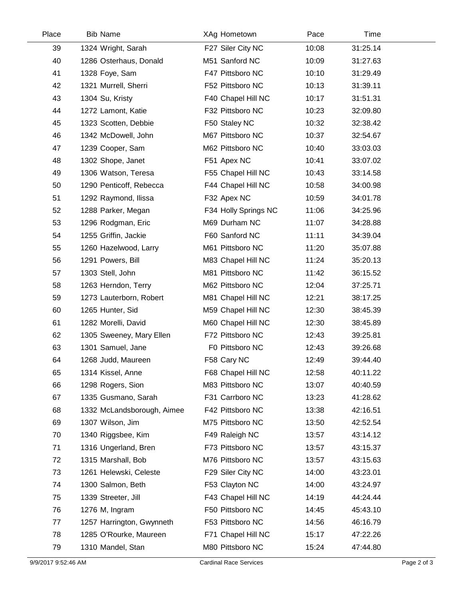| Place | <b>Bib Name</b>            | XAg Hometown         | Pace  | Time     |  |
|-------|----------------------------|----------------------|-------|----------|--|
| 39    | 1324 Wright, Sarah         | F27 Siler City NC    | 10:08 | 31:25.14 |  |
| 40    | 1286 Osterhaus, Donald     | M51 Sanford NC       | 10:09 | 31:27.63 |  |
| 41    | 1328 Foye, Sam             | F47 Pittsboro NC     | 10:10 | 31:29.49 |  |
| 42    | 1321 Murrell, Sherri       | F52 Pittsboro NC     | 10:13 | 31:39.11 |  |
| 43    | 1304 Su, Kristy            | F40 Chapel Hill NC   | 10:17 | 31:51.31 |  |
| 44    | 1272 Lamont, Katie         | F32 Pittsboro NC     | 10:23 | 32:09.80 |  |
| 45    | 1323 Scotten, Debbie       | F50 Staley NC        | 10:32 | 32:38.42 |  |
| 46    | 1342 McDowell, John        | M67 Pittsboro NC     | 10:37 | 32:54.67 |  |
| 47    | 1239 Cooper, Sam           | M62 Pittsboro NC     | 10:40 | 33:03.03 |  |
| 48    | 1302 Shope, Janet          | F51 Apex NC          | 10:41 | 33:07.02 |  |
| 49    | 1306 Watson, Teresa        | F55 Chapel Hill NC   | 10:43 | 33:14.58 |  |
| 50    | 1290 Penticoff, Rebecca    | F44 Chapel Hill NC   | 10:58 | 34:00.98 |  |
| 51    | 1292 Raymond, Ilissa       | F32 Apex NC          | 10:59 | 34:01.78 |  |
| 52    | 1288 Parker, Megan         | F34 Holly Springs NC | 11:06 | 34:25.96 |  |
| 53    | 1296 Rodgman, Eric         | M69 Durham NC        | 11:07 | 34:28.88 |  |
| 54    | 1255 Griffin, Jackie       | F60 Sanford NC       | 11:11 | 34:39.04 |  |
| 55    | 1260 Hazelwood, Larry      | M61 Pittsboro NC     | 11:20 | 35:07.88 |  |
| 56    | 1291 Powers, Bill          | M83 Chapel Hill NC   | 11:24 | 35:20.13 |  |
| 57    | 1303 Stell, John           | M81 Pittsboro NC     | 11:42 | 36:15.52 |  |
| 58    | 1263 Herndon, Terry        | M62 Pittsboro NC     | 12:04 | 37:25.71 |  |
| 59    | 1273 Lauterborn, Robert    | M81 Chapel Hill NC   | 12:21 | 38:17.25 |  |
| 60    | 1265 Hunter, Sid           | M59 Chapel Hill NC   | 12:30 | 38:45.39 |  |
| 61    | 1282 Morelli, David        | M60 Chapel Hill NC   | 12:30 | 38:45.89 |  |
| 62    | 1305 Sweeney, Mary Ellen   | F72 Pittsboro NC     | 12:43 | 39:25.81 |  |
| 63    | 1301 Samuel, Jane          | F0 Pittsboro NC      | 12:43 | 39:26.68 |  |
| 64    | 1268 Judd, Maureen         | F58 Cary NC          | 12:49 | 39:44.40 |  |
| 65    | 1314 Kissel, Anne          | F68 Chapel Hill NC   | 12:58 | 40:11.22 |  |
| 66    | 1298 Rogers, Sion          | M83 Pittsboro NC     | 13:07 | 40:40.59 |  |
| 67    | 1335 Gusmano, Sarah        | F31 Carrboro NC      | 13:23 | 41:28.62 |  |
| 68    | 1332 McLandsborough, Aimee | F42 Pittsboro NC     | 13:38 | 42:16.51 |  |
| 69    | 1307 Wilson, Jim           | M75 Pittsboro NC     | 13:50 | 42:52.54 |  |
| 70    | 1340 Riggsbee, Kim         | F49 Raleigh NC       | 13:57 | 43:14.12 |  |
| 71    | 1316 Ungerland, Bren       | F73 Pittsboro NC     | 13:57 | 43:15.37 |  |
| 72    | 1315 Marshall, Bob         | M76 Pittsboro NC     | 13:57 | 43:15.63 |  |
| 73    | 1261 Helewski, Celeste     | F29 Siler City NC    | 14:00 | 43:23.01 |  |
| 74    | 1300 Salmon, Beth          | F53 Clayton NC       | 14:00 | 43:24.97 |  |
| 75    | 1339 Streeter, Jill        | F43 Chapel Hill NC   | 14:19 | 44:24.44 |  |
| 76    | 1276 M, Ingram             | F50 Pittsboro NC     | 14:45 | 45:43.10 |  |
| 77    | 1257 Harrington, Gwynneth  | F53 Pittsboro NC     | 14:56 | 46:16.79 |  |
| 78    | 1285 O'Rourke, Maureen     | F71 Chapel Hill NC   | 15:17 | 47:22.26 |  |
| 79    | 1310 Mandel, Stan          | M80 Pittsboro NC     | 15:24 | 47:44.80 |  |